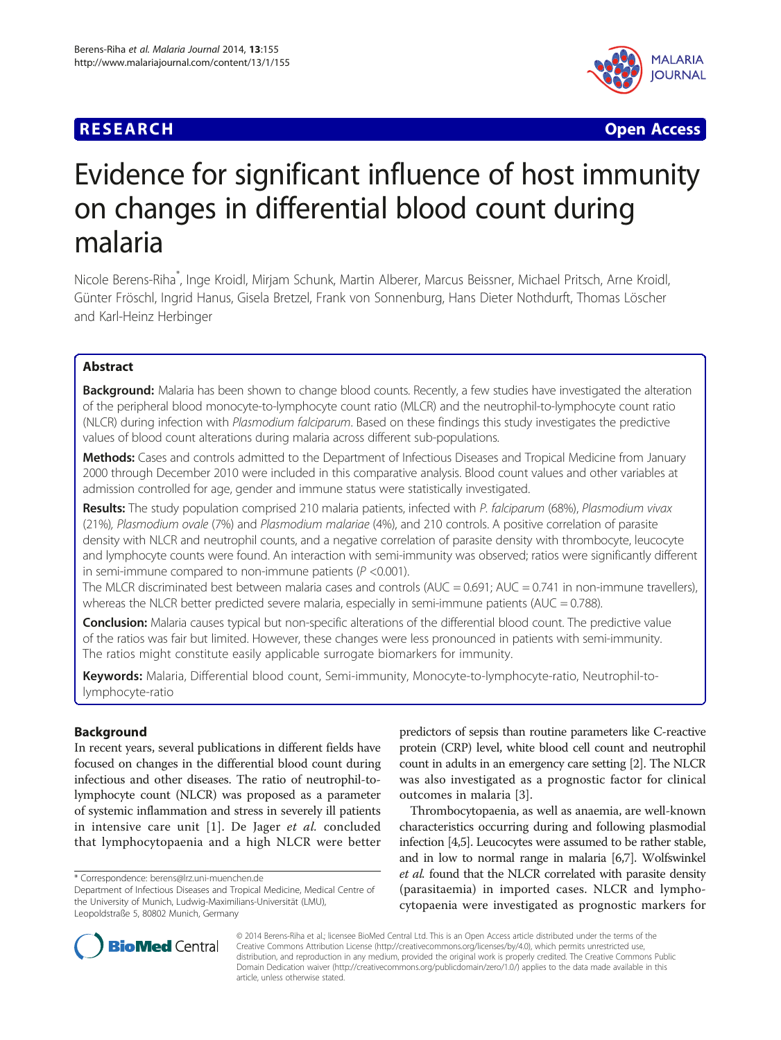## **RESEARCH CHEAR CHEAR CHEAR CHEAR CHEAR CHEAR CHEAR CHEAR CHEAR CHEAR CHEAR CHEAR CHEAR CHEAR CHEAR CHEAR CHEAR**



# Evidence for significant influence of host immunity on changes in differential blood count during malaria

Nicole Berens-Riha\* , Inge Kroidl, Mirjam Schunk, Martin Alberer, Marcus Beissner, Michael Pritsch, Arne Kroidl, Günter Fröschl, Ingrid Hanus, Gisela Bretzel, Frank von Sonnenburg, Hans Dieter Nothdurft, Thomas Löscher and Karl-Heinz Herbinger

## Abstract

Background: Malaria has been shown to change blood counts. Recently, a few studies have investigated the alteration of the peripheral blood monocyte-to-lymphocyte count ratio (MLCR) and the neutrophil-to-lymphocyte count ratio (NLCR) during infection with Plasmodium falciparum. Based on these findings this study investigates the predictive values of blood count alterations during malaria across different sub-populations.

Methods: Cases and controls admitted to the Department of Infectious Diseases and Tropical Medicine from January 2000 through December 2010 were included in this comparative analysis. Blood count values and other variables at admission controlled for age, gender and immune status were statistically investigated.

Results: The study population comprised 210 malaria patients, infected with P. falciparum (68%), Plasmodium vivax (21%), Plasmodium ovale (7%) and Plasmodium malariae (4%), and 210 controls. A positive correlation of parasite density with NLCR and neutrophil counts, and a negative correlation of parasite density with thrombocyte, leucocyte and lymphocyte counts were found. An interaction with semi-immunity was observed; ratios were significantly different in semi-immune compared to non-immune patients ( $P < 0.001$ ).

The MLCR discriminated best between malaria cases and controls (AUC =  $0.691$ ; AUC =  $0.741$  in non-immune travellers), whereas the NLCR better predicted severe malaria, especially in semi-immune patients (AUC =  $0.788$ ).

Conclusion: Malaria causes typical but non-specific alterations of the differential blood count. The predictive value of the ratios was fair but limited. However, these changes were less pronounced in patients with semi-immunity. The ratios might constitute easily applicable surrogate biomarkers for immunity.

Keywords: Malaria, Differential blood count, Semi-immunity, Monocyte-to-lymphocyte-ratio, Neutrophil-tolymphocyte-ratio

## Background

In recent years, several publications in different fields have focused on changes in the differential blood count during infectious and other diseases. The ratio of neutrophil-tolymphocyte count (NLCR) was proposed as a parameter of systemic inflammation and stress in severely ill patients in intensive care unit [[1\]](#page-8-0). De Jager et al. concluded that lymphocytopaenia and a high NLCR were better

\* Correspondence: [berens@lrz.uni-muenchen.de](mailto:berens@lrz.uni-muenchen.de)

Department of Infectious Diseases and Tropical Medicine, Medical Centre of the University of Munich, Ludwig-Maximilians-Universität (LMU), Leopoldstraße 5, 80802 Munich, Germany

predictors of sepsis than routine parameters like C-reactive protein (CRP) level, white blood cell count and neutrophil count in adults in an emergency care setting [\[2\]](#page-8-0). The NLCR was also investigated as a prognostic factor for clinical outcomes in malaria [[3\]](#page-8-0).

Thrombocytopaenia, as well as anaemia, are well-known characteristics occurring during and following plasmodial infection [\[4,5\]](#page-8-0). Leucocytes were assumed to be rather stable, and in low to normal range in malaria [\[6,7\]](#page-8-0). Wolfswinkel et al. found that the NLCR correlated with parasite density (parasitaemia) in imported cases. NLCR and lymphocytopaenia were investigated as prognostic markers for



© 2014 Berens-Riha et al.; licensee BioMed Central Ltd. This is an Open Access article distributed under the terms of the Creative Commons Attribution License (<http://creativecommons.org/licenses/by/4.0>), which permits unrestricted use, distribution, and reproduction in any medium, provided the original work is properly credited. The Creative Commons Public Domain Dedication waiver [\(http://creativecommons.org/publicdomain/zero/1.0/\)](http://creativecommons.org/publicdomain/zero/1.0/) applies to the data made available in this article, unless otherwise stated.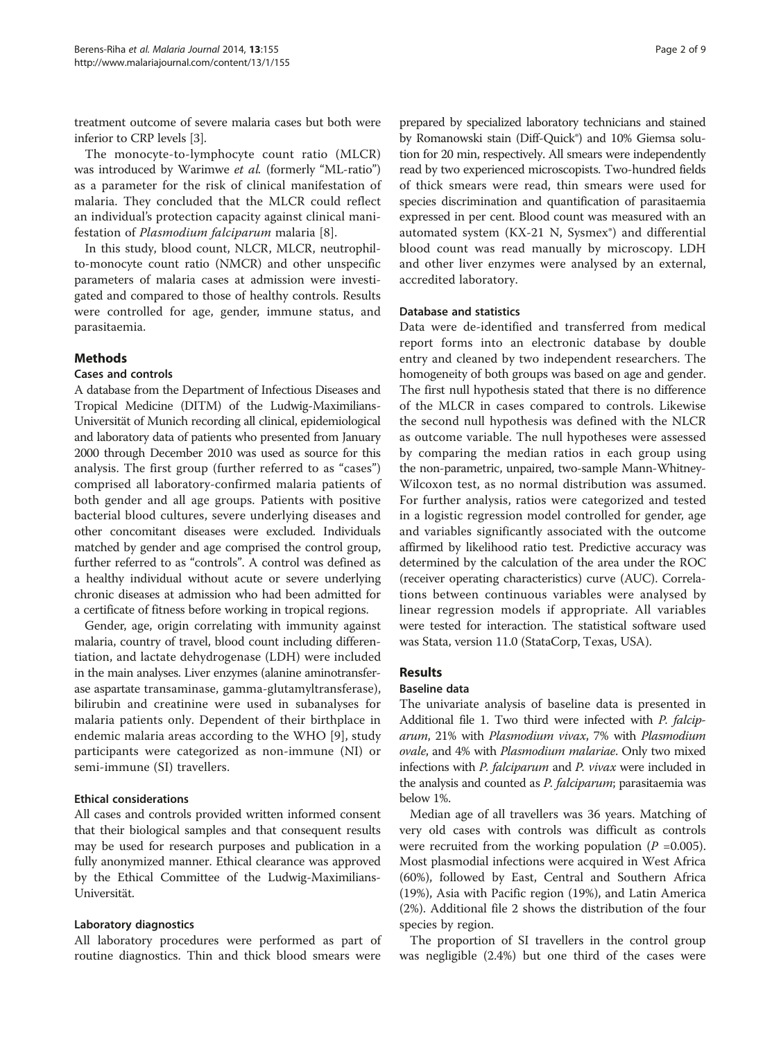treatment outcome of severe malaria cases but both were inferior to CRP levels [[3\]](#page-8-0).

The monocyte-to-lymphocyte count ratio (MLCR) was introduced by Warimwe et al. (formerly "ML-ratio") as a parameter for the risk of clinical manifestation of malaria. They concluded that the MLCR could reflect an individual's protection capacity against clinical manifestation of Plasmodium falciparum malaria [[8\]](#page-8-0).

In this study, blood count, NLCR, MLCR, neutrophilto-monocyte count ratio (NMCR) and other unspecific parameters of malaria cases at admission were investigated and compared to those of healthy controls. Results were controlled for age, gender, immune status, and parasitaemia.

## **Methods**

## Cases and controls

A database from the Department of Infectious Diseases and Tropical Medicine (DITM) of the Ludwig-Maximilians-Universität of Munich recording all clinical, epidemiological and laboratory data of patients who presented from January 2000 through December 2010 was used as source for this analysis. The first group (further referred to as "cases") comprised all laboratory-confirmed malaria patients of both gender and all age groups. Patients with positive bacterial blood cultures, severe underlying diseases and other concomitant diseases were excluded. Individuals matched by gender and age comprised the control group, further referred to as "controls". A control was defined as a healthy individual without acute or severe underlying chronic diseases at admission who had been admitted for a certificate of fitness before working in tropical regions.

Gender, age, origin correlating with immunity against malaria, country of travel, blood count including differentiation, and lactate dehydrogenase (LDH) were included in the main analyses. Liver enzymes (alanine aminotransferase aspartate transaminase, gamma-glutamyltransferase), bilirubin and creatinine were used in subanalyses for malaria patients only. Dependent of their birthplace in endemic malaria areas according to the WHO [[9](#page-8-0)], study participants were categorized as non-immune (NI) or semi-immune (SI) travellers.

#### Ethical considerations

All cases and controls provided written informed consent that their biological samples and that consequent results may be used for research purposes and publication in a fully anonymized manner. Ethical clearance was approved by the Ethical Committee of the Ludwig-Maximilians-Universität.

#### Laboratory diagnostics

All laboratory procedures were performed as part of routine diagnostics. Thin and thick blood smears were

prepared by specialized laboratory technicians and stained by Romanowski stain (Diff-Quick®) and 10% Giemsa solution for 20 min, respectively. All smears were independently read by two experienced microscopists. Two-hundred fields of thick smears were read, thin smears were used for species discrimination and quantification of parasitaemia expressed in per cent. Blood count was measured with an automated system (KX-21 N, Sysmex®) and differential blood count was read manually by microscopy. LDH and other liver enzymes were analysed by an external, accredited laboratory.

#### Database and statistics

Data were de-identified and transferred from medical report forms into an electronic database by double entry and cleaned by two independent researchers. The homogeneity of both groups was based on age and gender. The first null hypothesis stated that there is no difference of the MLCR in cases compared to controls. Likewise the second null hypothesis was defined with the NLCR as outcome variable. The null hypotheses were assessed by comparing the median ratios in each group using the non-parametric, unpaired, two-sample Mann-Whitney-Wilcoxon test, as no normal distribution was assumed. For further analysis, ratios were categorized and tested in a logistic regression model controlled for gender, age and variables significantly associated with the outcome affirmed by likelihood ratio test. Predictive accuracy was determined by the calculation of the area under the ROC (receiver operating characteristics) curve (AUC). Correlations between continuous variables were analysed by linear regression models if appropriate. All variables were tested for interaction. The statistical software used was Stata, version 11.0 (StataCorp, Texas, USA).

## Results

#### Baseline data

The univariate analysis of baseline data is presented in Additional file [1.](#page-7-0) Two third were infected with P. falciparum, 21% with Plasmodium vivax, 7% with Plasmodium ovale, and 4% with Plasmodium malariae. Only two mixed infections with *P. falciparum* and *P. vivax* were included in the analysis and counted as *P. falciparum*; parasitaemia was below 1%.

Median age of all travellers was 36 years. Matching of very old cases with controls was difficult as controls were recruited from the working population ( $P = 0.005$ ). Most plasmodial infections were acquired in West Africa (60%), followed by East, Central and Southern Africa (19%), Asia with Pacific region (19%), and Latin America (2%). Additional file [2](#page-7-0) shows the distribution of the four species by region.

The proportion of SI travellers in the control group was negligible (2.4%) but one third of the cases were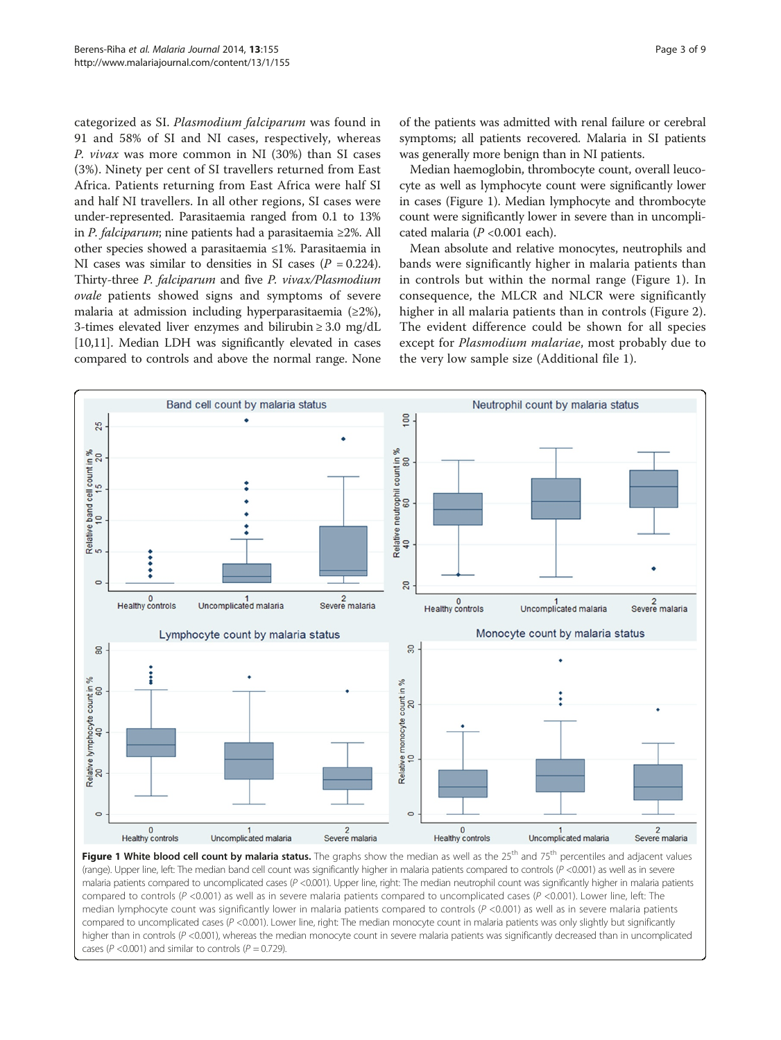<span id="page-2-0"></span>categorized as SI. Plasmodium falciparum was found in 91 and 58% of SI and NI cases, respectively, whereas P. vivax was more common in NI (30%) than SI cases (3%). Ninety per cent of SI travellers returned from East Africa. Patients returning from East Africa were half SI and half NI travellers. In all other regions, SI cases were under-represented. Parasitaemia ranged from 0.1 to 13% in P. falciparum; nine patients had a parasitaemia ≥2%. All other species showed a parasitaemia ≤1%. Parasitaemia in NI cases was similar to densities in SI cases ( $P = 0.224$ ). Thirty-three P. falciparum and five P. vivax/Plasmodium ovale patients showed signs and symptoms of severe malaria at admission including hyperparasitaemia (≥2%), 3-times elevated liver enzymes and bilirubin ≥ 3.0 mg/dL [[10,11](#page-8-0)]. Median LDH was significantly elevated in cases compared to controls and above the normal range. None of the patients was admitted with renal failure or cerebral symptoms; all patients recovered. Malaria in SI patients was generally more benign than in NI patients.

Median haemoglobin, thrombocyte count, overall leucocyte as well as lymphocyte count were significantly lower in cases (Figure 1). Median lymphocyte and thrombocyte count were significantly lower in severe than in uncomplicated malaria  $(P<0.001$  each).

Mean absolute and relative monocytes, neutrophils and bands were significantly higher in malaria patients than in controls but within the normal range (Figure 1). In consequence, the MLCR and NLCR were significantly higher in all malaria patients than in controls (Figure [2](#page-3-0)). The evident difference could be shown for all species except for *Plasmodium malariae*, most probably due to the very low sample size (Additional file [1](#page-7-0)).



Figure 1 White blood cell count by malaria status. The graphs show the median as well as the  $25<sup>th</sup>$  and  $75<sup>th</sup>$  percentiles and adjacent values (range). Upper line, left: The median band cell count was significantly higher in malaria patients compared to controls (P <0.001) as well as in severe malaria patients compared to uncomplicated cases (P <0.001). Upper line, right: The median neutrophil count was significantly higher in malaria patients compared to controls (P <0.001) as well as in severe malaria patients compared to uncomplicated cases (P <0.001). Lower line, left: The median lymphocyte count was significantly lower in malaria patients compared to controls  $(P < 0.001)$  as well as in severe malaria patients compared to uncomplicated cases  $(P < 0.001)$ . Lower line, right: The median monocyte count in malaria patients was only slightly but significantly higher than in controls (P <0.001), whereas the median monocyte count in severe malaria patients was significantly decreased than in uncomplicated cases ( $P < 0.001$ ) and similar to controls ( $P = 0.729$ ).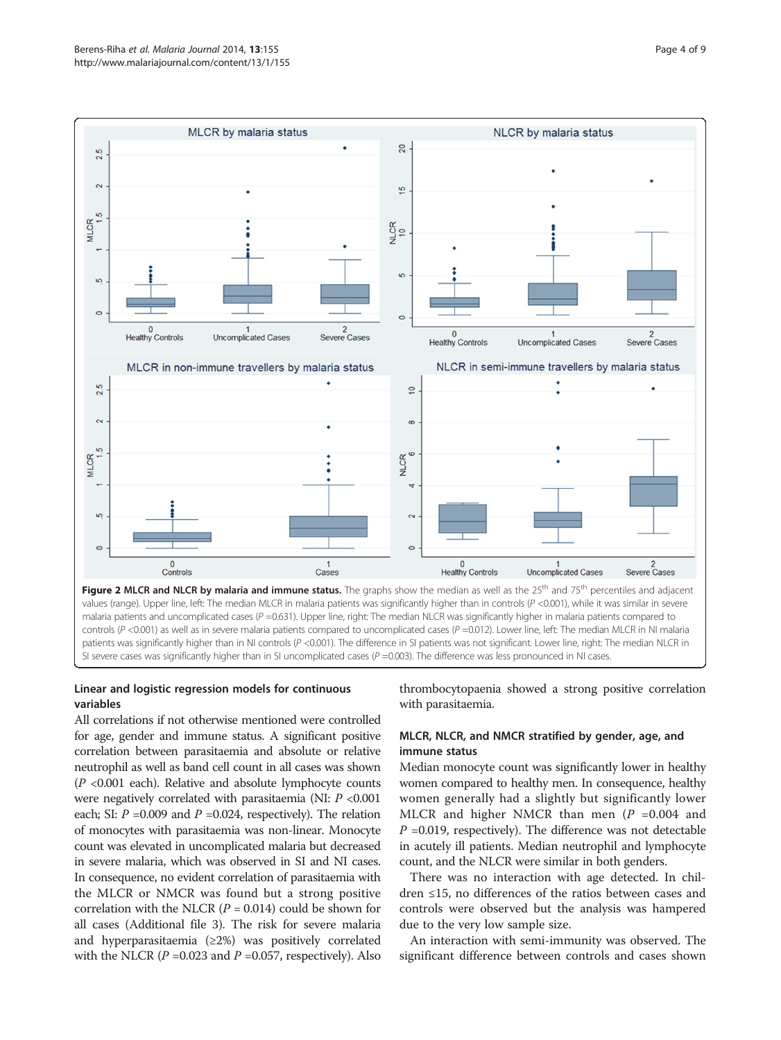<span id="page-3-0"></span>

## Linear and logistic regression models for continuous variables

thrombocytopaenia showed a strong positive correlation with parasitaemia.

All correlations if not otherwise mentioned were controlled for age, gender and immune status. A significant positive correlation between parasitaemia and absolute or relative neutrophil as well as band cell count in all cases was shown  $(P \le 0.001$  each). Relative and absolute lymphocyte counts were negatively correlated with parasitaemia (NI: P <0.001 each; SI:  $P = 0.009$  and  $P = 0.024$ , respectively). The relation of monocytes with parasitaemia was non-linear. Monocyte count was elevated in uncomplicated malaria but decreased in severe malaria, which was observed in SI and NI cases. In consequence, no evident correlation of parasitaemia with the MLCR or NMCR was found but a strong positive correlation with the NLCR ( $P = 0.014$ ) could be shown for all cases (Additional file [3\)](#page-7-0). The risk for severe malaria and hyperparasitaemia  $(\geq 2\%)$  was positively correlated with the NLCR ( $P = 0.023$  and  $P = 0.057$ , respectively). Also

## MLCR, NLCR, and NMCR stratified by gender, age, and immune status

Median monocyte count was significantly lower in healthy women compared to healthy men. In consequence, healthy women generally had a slightly but significantly lower MLCR and higher NMCR than men  $(P = 0.004$  and  $P = 0.019$ , respectively). The difference was not detectable in acutely ill patients. Median neutrophil and lymphocyte count, and the NLCR were similar in both genders.

There was no interaction with age detected. In children ≤15, no differences of the ratios between cases and controls were observed but the analysis was hampered due to the very low sample size.

An interaction with semi-immunity was observed. The significant difference between controls and cases shown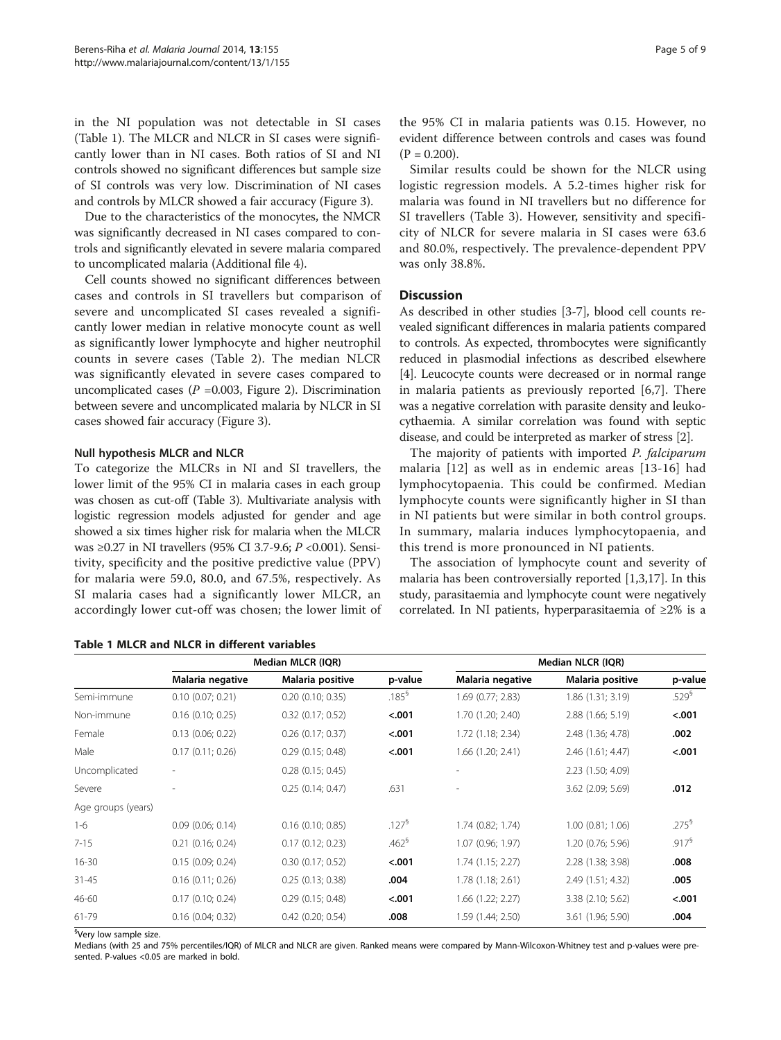<span id="page-4-0"></span>in the NI population was not detectable in SI cases (Table 1). The MLCR and NLCR in SI cases were significantly lower than in NI cases. Both ratios of SI and NI controls showed no significant differences but sample size of SI controls was very low. Discrimination of NI cases and controls by MLCR showed a fair accuracy (Figure [3\)](#page-5-0).

Due to the characteristics of the monocytes, the NMCR was significantly decreased in NI cases compared to controls and significantly elevated in severe malaria compared to uncomplicated malaria (Additional file [4\)](#page-7-0).

Cell counts showed no significant differences between cases and controls in SI travellers but comparison of severe and uncomplicated SI cases revealed a significantly lower median in relative monocyte count as well as significantly lower lymphocyte and higher neutrophil counts in severe cases (Table [2\)](#page-6-0). The median NLCR was significantly elevated in severe cases compared to uncomplicated cases ( $P = 0.003$ , Figure [2](#page-3-0)). Discrimination between severe and uncomplicated malaria by NLCR in SI cases showed fair accuracy (Figure [3](#page-5-0)).

## Null hypothesis MLCR and NLCR

To categorize the MLCRs in NI and SI travellers, the lower limit of the 95% CI in malaria cases in each group was chosen as cut-off (Table [3\)](#page-7-0). Multivariate analysis with logistic regression models adjusted for gender and age showed a six times higher risk for malaria when the MLCR was ≥0.27 in NI travellers (95% CI 3.7-9.6; P <0.001). Sensitivity, specificity and the positive predictive value (PPV) for malaria were 59.0, 80.0, and 67.5%, respectively. As SI malaria cases had a significantly lower MLCR, an accordingly lower cut-off was chosen; the lower limit of

|  |  |  |  |  |  | Table 1 MLCR and NLCR in different variables |
|--|--|--|--|--|--|----------------------------------------------|
|--|--|--|--|--|--|----------------------------------------------|

the 95% CI in malaria patients was 0.15. However, no evident difference between controls and cases was found  $(P = 0.200)$ .

Similar results could be shown for the NLCR using logistic regression models. A 5.2-times higher risk for malaria was found in NI travellers but no difference for SI travellers (Table [3](#page-7-0)). However, sensitivity and specificity of NLCR for severe malaria in SI cases were 63.6 and 80.0%, respectively. The prevalence-dependent PPV was only 38.8%.

#### **Discussion**

As described in other studies [\[3](#page-8-0)-[7](#page-8-0)], blood cell counts revealed significant differences in malaria patients compared to controls. As expected, thrombocytes were significantly reduced in plasmodial infections as described elsewhere [[4\]](#page-8-0). Leucocyte counts were decreased or in normal range in malaria patients as previously reported [[6,7](#page-8-0)]. There was a negative correlation with parasite density and leukocythaemia. A similar correlation was found with septic disease, and could be interpreted as marker of stress [[2\]](#page-8-0).

The majority of patients with imported P. falciparum malaria [[12](#page-8-0)] as well as in endemic areas [\[13-16\]](#page-8-0) had lymphocytopaenia. This could be confirmed. Median lymphocyte counts were significantly higher in SI than in NI patients but were similar in both control groups. In summary, malaria induces lymphocytopaenia, and this trend is more pronounced in NI patients.

The association of lymphocyte count and severity of malaria has been controversially reported [\[1,3,17](#page-8-0)]. In this study, parasitaemia and lymphocyte count were negatively correlated. In NI patients, hyperparasitaemia of ≥2% is a

|                    |                       | Median MLCR (IQR)     |                      | Median NLCR (IQR) |                       |                   |  |  |
|--------------------|-----------------------|-----------------------|----------------------|-------------------|-----------------------|-------------------|--|--|
|                    | Malaria negative      | Malaria positive      | p-value              | Malaria negative  | Malaria positive      | p-value           |  |  |
| Semi-immune        | 0.10(0.07; 0.21)      | $0.20$ $(0.10; 0.35)$ | $.185^{\frac{6}{3}}$ | 1.69 (0.77; 2.83) | 1.86(1.31; 3.19)      | $.529^{6}$        |  |  |
| Non-immune         | $0.16$ (0.10; 0.25)   | $0.32$ $(0.17; 0.52)$ | < .001               | 1.70 (1.20; 2.40) | 2.88 (1.66; 5.19)     | < .001            |  |  |
| Female             | 0.13(0.06; 0.22)      | $0.26$ $(0.17; 0.37)$ | $-.001$              | 1.72 (1.18; 2.34) | 2.48 (1.36; 4.78)     | .002              |  |  |
| Male               | 0.17(0.11; 0.26)      | 0.29(0.15; 0.48)      | $-.001$              | 1.66 (1.20; 2.41) | 2.46 (1.61; 4.47)     | $-.001$           |  |  |
| Uncomplicated      |                       | $0.28$ (0.15; 0.45)   |                      |                   | 2.23 (1.50; 4.09)     |                   |  |  |
| Severe             |                       | 0.25(0.14; 0.47)      | .631                 |                   | 3.62 (2.09; 5.69)     | .012              |  |  |
| Age groups (years) |                       |                       |                      |                   |                       |                   |  |  |
| $1 - 6$            | $0.09$ $(0.06; 0.14)$ | $0.16$ (0.10; 0.85)   | .127 <sup>5</sup>    | 1.74 (0.82; 1.74) | $1.00$ $(0.81; 1.06)$ | .275 <sup>5</sup> |  |  |
| $7 - 15$           | $0.21$ $(0.16; 0.24)$ | 0.17(0.12; 0.23)      | $.462^6$             | 1.07 (0.96; 1.97) | 1.20 (0.76; 5.96)     | $.917^6$          |  |  |
| $16 - 30$          | 0.15(0.09; 0.24)      | 0.30(0.17; 0.52)      | < .001               | 1.74 (1.15; 2.27) | 2.28 (1.38; 3.98)     | .008              |  |  |
| $31 - 45$          | 0.16(0.11; 0.26)      | 0.25(0.13; 0.38)      | .004                 | 1.78 (1.18; 2.61) | 2.49 (1.51; 4.32)     | .005              |  |  |
| 46-60              | 0.17(0.10; 0.24)      | 0.29(0.15; 0.48)      | $-.001$              | 1.66 (1.22; 2.27) | 3.38 (2.10; 5.62)     | $-.001$           |  |  |
| 61-79              | $0.16$ (0.04; 0.32)   | $0.42$ (0.20; 0.54)   | .008                 | 1.59 (1.44; 2.50) | 3.61 (1.96; 5.90)     | .004              |  |  |

<sup>§</sup>Very low sample size.

Medians (with 25 and 75% percentiles/IQR) of MLCR and NLCR are given. Ranked means were compared by Mann-Wilcoxon-Whitney test and p-values were presented. P-values <0.05 are marked in bold.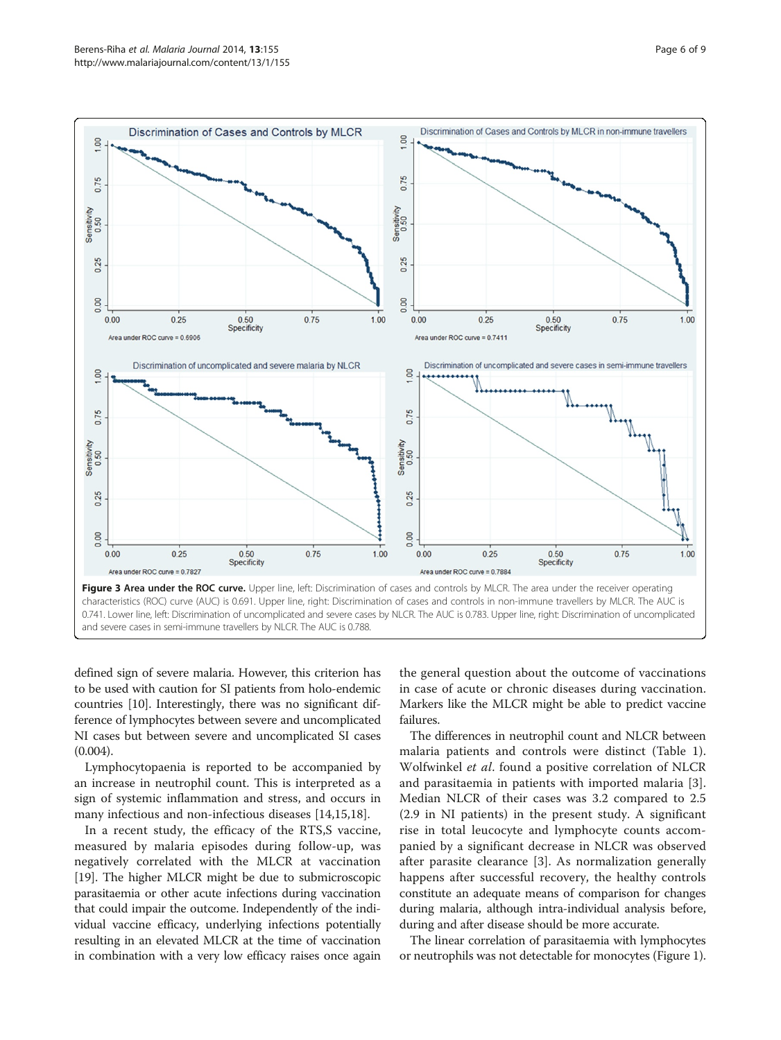<span id="page-5-0"></span>

defined sign of severe malaria. However, this criterion has to be used with caution for SI patients from holo-endemic countries [[10](#page-8-0)]. Interestingly, there was no significant difference of lymphocytes between severe and uncomplicated NI cases but between severe and uncomplicated SI cases (0.004).

Lymphocytopaenia is reported to be accompanied by an increase in neutrophil count. This is interpreted as a sign of systemic inflammation and stress, and occurs in many infectious and non-infectious diseases [\[14,15,18](#page-8-0)].

In a recent study, the efficacy of the RTS,S vaccine, measured by malaria episodes during follow-up, was negatively correlated with the MLCR at vaccination [[19](#page-8-0)]. The higher MLCR might be due to submicroscopic parasitaemia or other acute infections during vaccination that could impair the outcome. Independently of the individual vaccine efficacy, underlying infections potentially resulting in an elevated MLCR at the time of vaccination in combination with a very low efficacy raises once again the general question about the outcome of vaccinations in case of acute or chronic diseases during vaccination. Markers like the MLCR might be able to predict vaccine failures.

The differences in neutrophil count and NLCR between malaria patients and controls were distinct (Table [1](#page-4-0)). Wolfwinkel et al. found a positive correlation of NLCR and parasitaemia in patients with imported malaria [\[3](#page-8-0)]. Median NLCR of their cases was 3.2 compared to 2.5 (2.9 in NI patients) in the present study. A significant rise in total leucocyte and lymphocyte counts accompanied by a significant decrease in NLCR was observed after parasite clearance [[3](#page-8-0)]. As normalization generally happens after successful recovery, the healthy controls constitute an adequate means of comparison for changes during malaria, although intra-individual analysis before, during and after disease should be more accurate.

The linear correlation of parasitaemia with lymphocytes or neutrophils was not detectable for monocytes (Figure [1](#page-2-0)).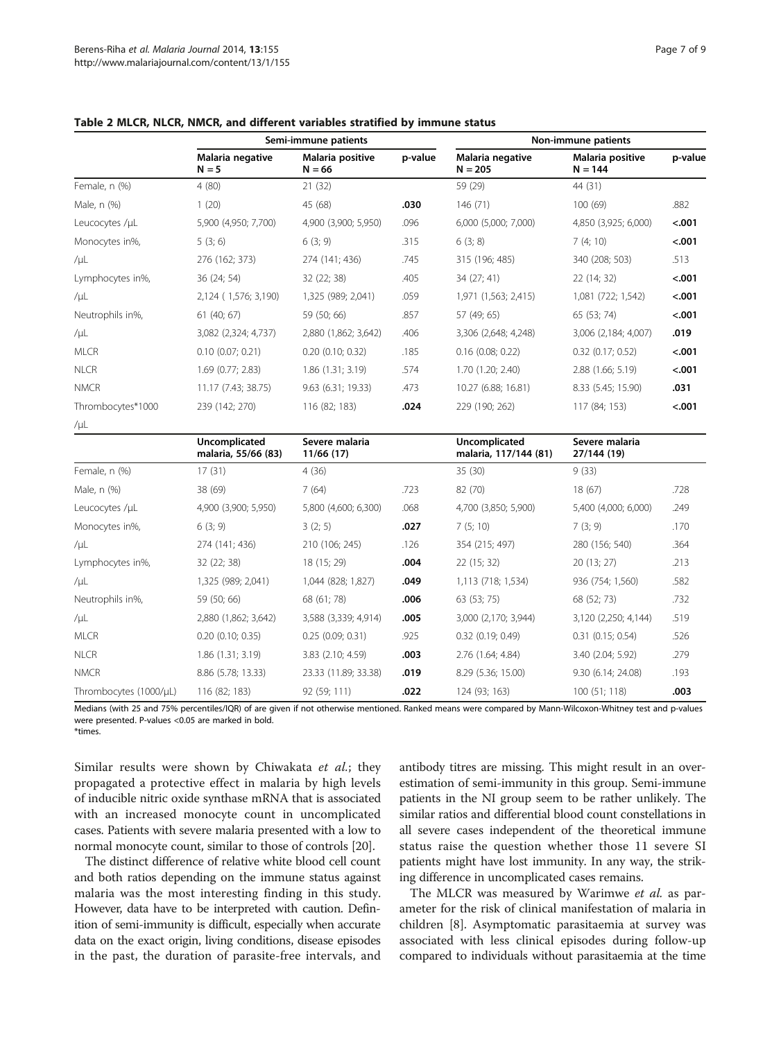|                        | Semi-immune patients                 |                              |         | Non-immune patients                    |                               |         |  |
|------------------------|--------------------------------------|------------------------------|---------|----------------------------------------|-------------------------------|---------|--|
|                        | Malaria negative<br>$N = 5$          | Malaria positive<br>$N = 66$ | p-value | Malaria negative<br>$N = 205$          | Malaria positive<br>$N = 144$ | p-value |  |
| Female, n (%)          | 4(80)                                | 21(32)                       |         | 59 (29)                                | 44 (31)                       |         |  |
| Male, n (%)            | 1(20)                                | 45 (68)                      | .030    | 146 (71)                               | 100(69)                       | .882    |  |
| Leucocytes /µL         | 5,900 (4,950; 7,700)                 | 4,900 (3,900; 5,950)         | .096    | 6,000 (5,000; 7,000)                   | 4,850 (3,925; 6,000)          | < .001  |  |
| Monocytes in%,         | 5(3; 6)                              | 6(3; 9)                      | .315    | 6(3; 8)                                | 7(4; 10)                      | < .001  |  |
| /µL                    | 276 (162; 373)                       | 274 (141; 436)               | .745    | 315 (196; 485)                         | 340 (208; 503)                | .513    |  |
| Lymphocytes in%,       | 36 (24; 54)                          | 32 (22; 38)                  | .405    | 34 (27; 41)                            | 22 (14; 32)                   | $-.001$ |  |
| $/ \mu L$              | 2,124 (1,576; 3,190)                 | 1,325 (989; 2,041)           | .059    | 1,971 (1,563; 2,415)                   | 1,081 (722; 1,542)            | $-.001$ |  |
| Neutrophils in%,       | 61(40; 67)                           | 59 (50; 66)                  | .857    | 57 (49; 65)                            | 65 (53; 74)                   | $-.001$ |  |
| $/ \mu L$              | 3,082 (2,324; 4,737)                 | 2,880 (1,862; 3,642)         | .406    | 3,306 (2,648; 4,248)                   | 3,006 (2,184; 4,007)          | .019    |  |
| <b>MLCR</b>            | $0.10$ (0.07; 0.21)                  | $0.20$ $(0.10; 0.32)$        | .185    | $0.16$ (0.08; 0.22)                    | $0.32$ (0.17; 0.52)           | < .001  |  |
| <b>NLCR</b>            | 1.69 (0.77; 2.83)                    | 1.86 (1.31; 3.19)            | .574    | 1.70 (1.20; 2.40)                      | 2.88 (1.66; 5.19)             | < .001  |  |
| <b>NMCR</b>            | 11.17 (7.43; 38.75)                  | 9.63 (6.31; 19.33)           | .473    | 10.27 (6.88; 16.81)                    | 8.33 (5.45; 15.90)            | .031    |  |
| Thrombocytes*1000      | 239 (142; 270)                       | 116 (82; 183)                | .024    | 229 (190; 262)                         | 117 (84; 153)                 | < .001  |  |
| /µL                    |                                      |                              |         |                                        |                               |         |  |
|                        | Uncomplicated<br>malaria, 55/66 (83) | Severe malaria<br>11/66 (17) |         | Uncomplicated<br>malaria, 117/144 (81) | Severe malaria<br>27/144 (19) |         |  |
| Female, n (%)          | 17(31)                               | 4(36)                        |         | 35 (30)                                | 9(33)                         |         |  |
| Male, n (%)            | 38 (69)                              | 7(64)                        | .723    | 82 (70)                                | 18 (67)                       | .728    |  |
| Leucocytes /µL         | 4,900 (3,900; 5,950)                 | 5,800 (4,600; 6,300)         | .068    | 4,700 (3,850; 5,900)                   | 5,400 (4,000; 6,000)          | .249    |  |
| Monocytes in%,         | 6(3; 9)                              | 3(2; 5)                      | .027    | 7(5; 10)                               | 7(3; 9)                       | .170    |  |
| /µL                    | 274 (141; 436)                       | 210 (106; 245)               | .126    | 354 (215; 497)                         | 280 (156; 540)                | .364    |  |
| Lymphocytes in%,       | 32 (22; 38)                          | 18 (15; 29)                  | .004    | 22 (15; 32)                            | 20 (13; 27)                   | .213    |  |
| $/ \mu L$              | 1,325 (989; 2,041)                   | 1,044 (828; 1,827)           | .049    | 1,113 (718; 1,534)                     | 936 (754; 1,560)              | .582    |  |
| Neutrophils in%,       | 59 (50; 66)                          | 68 (61; 78)                  | .006    | 63 (53; 75)                            | 68 (52; 73)                   | .732    |  |
| $/ \mu L$              | 2,880 (1,862; 3,642)                 | 3,588 (3,339; 4,914)         | .005    | 3,000 (2,170; 3,944)                   | 3,120 (2,250; 4,144)          | .519    |  |
| <b>MLCR</b>            | $0.20$ (0.10; 0.35)                  | $0.25$ (0.09; 0.31)          | .925    | $0.32$ $(0.19; 0.49)$                  | $0.31$ $(0.15; 0.54)$         | .526    |  |
| <b>NLCR</b>            | 1.86(1.31; 3.19)                     | 3.83 (2.10; 4.59)            | .003    | 2.76 (1.64; 4.84)                      | 3.40 (2.04; 5.92)             | .279    |  |
| <b>NMCR</b>            | 8.86 (5.78; 13.33)                   | 23.33 (11.89; 33.38)         | .019    | 8.29 (5.36; 15.00)                     | 9.30 (6.14; 24.08)            | .193    |  |
| Thrombocytes (1000/µL) | 116 (82; 183)                        | 92 (59; 111)                 | .022    | 124 (93; 163)                          | 100 (51; 118)                 | .003    |  |

<span id="page-6-0"></span>

| Table 2 MLCR, NLCR, NMCR, and different variables stratified by immune status |  |  |  |  |
|-------------------------------------------------------------------------------|--|--|--|--|
|-------------------------------------------------------------------------------|--|--|--|--|

Medians (with 25 and 75% percentiles/IQR) of are given if not otherwise mentioned. Ranked means were compared by Mann-Wilcoxon-Whitney test and p-values were presented. P-values <0.05 are marked in bold. \*times.

Similar results were shown by Chiwakata et al.; they propagated a protective effect in malaria by high levels of inducible nitric oxide synthase mRNA that is associated with an increased monocyte count in uncomplicated cases. Patients with severe malaria presented with a low to normal monocyte count, similar to those of controls [\[20\]](#page-8-0).

The distinct difference of relative white blood cell count and both ratios depending on the immune status against malaria was the most interesting finding in this study. However, data have to be interpreted with caution. Definition of semi-immunity is difficult, especially when accurate data on the exact origin, living conditions, disease episodes in the past, the duration of parasite-free intervals, and antibody titres are missing. This might result in an overestimation of semi-immunity in this group. Semi-immune patients in the NI group seem to be rather unlikely. The similar ratios and differential blood count constellations in all severe cases independent of the theoretical immune status raise the question whether those 11 severe SI patients might have lost immunity. In any way, the striking difference in uncomplicated cases remains.

The MLCR was measured by Warimwe et al. as parameter for the risk of clinical manifestation of malaria in children [[8\]](#page-8-0). Asymptomatic parasitaemia at survey was associated with less clinical episodes during follow-up compared to individuals without parasitaemia at the time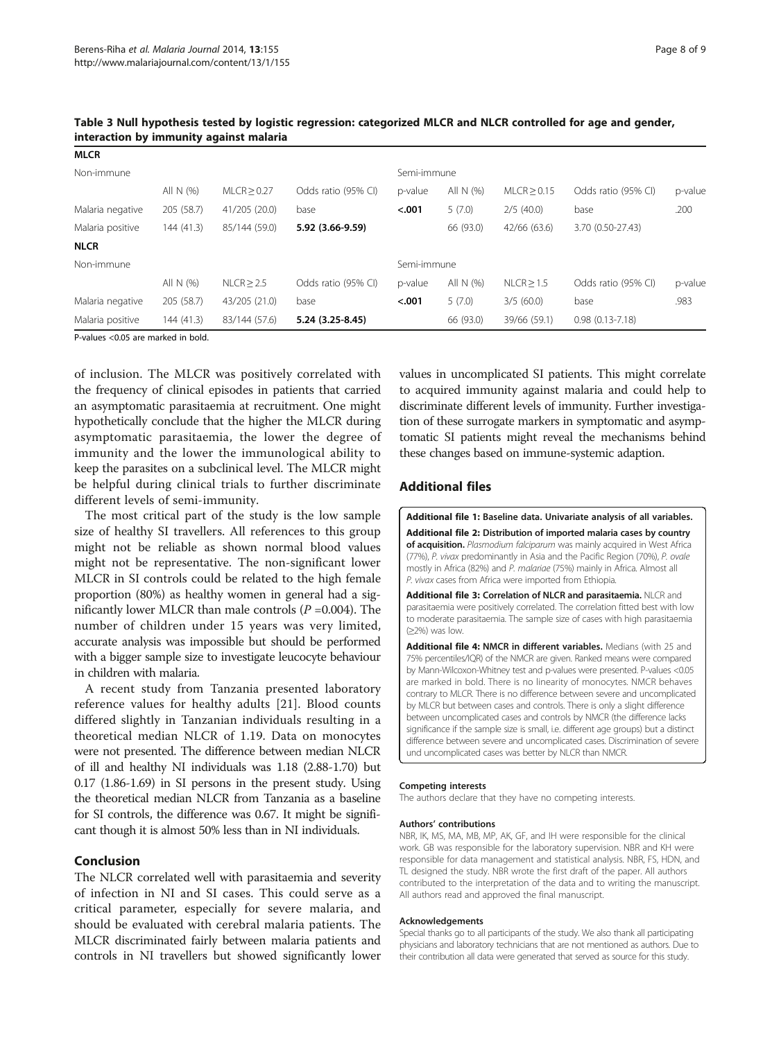| <b>MLCR</b>      |            |                  |                     |             |           |                 |                     |         |
|------------------|------------|------------------|---------------------|-------------|-----------|-----------------|---------------------|---------|
| Non-immune       |            |                  |                     | Semi-immune |           |                 |                     |         |
|                  | All N (%)  | $MLCR \geq 0.27$ | Odds ratio (95% CI) | p-value     | All N (%) | $MLCR \ge 0.15$ | Odds ratio (95% CI) | p-value |
| Malaria negative | 205 (58.7) | 41/205 (20.0)    | base                | < .001      | 5(7.0)    | 2/5(40.0)       | base                | .200    |
| Malaria positive | 144 (41.3) | 85/144 (59.0)    | 5.92 (3.66-9.59)    |             | 66 (93.0) | 42/66 (63.6)    | 3.70 (0.50-27.43)   |         |
| <b>NLCR</b>      |            |                  |                     |             |           |                 |                     |         |
| Non-immune       |            |                  |                     | Semi-immune |           |                 |                     |         |
|                  | All N (%)  | $NLCR \geq 2.5$  | Odds ratio (95% CI) | p-value     | All N (%) | NLCR > 1.5      | Odds ratio (95% CI) | p-value |
| Malaria negative | 205 (58.7) | 43/205 (21.0)    | base                | < .001      | 5(7.0)    | 3/5(60.0)       | base                | .983    |
| Malaria positive | 144 (41.3) | 83/144 (57.6)    | 5.24 (3.25-8.45)    |             | 66 (93.0) | 39/66 (59.1)    | $0.98(0.13 - 7.18)$ |         |

<span id="page-7-0"></span>Table 3 Null hypothesis tested by logistic regression: categorized MLCR and NLCR controlled for age and gender, interaction by immunity against malaria

P-values <0.05 are marked in bold.

of inclusion. The MLCR was positively correlated with the frequency of clinical episodes in patients that carried an asymptomatic parasitaemia at recruitment. One might hypothetically conclude that the higher the MLCR during asymptomatic parasitaemia, the lower the degree of immunity and the lower the immunological ability to keep the parasites on a subclinical level. The MLCR might be helpful during clinical trials to further discriminate different levels of semi-immunity.

The most critical part of the study is the low sample size of healthy SI travellers. All references to this group might not be reliable as shown normal blood values might not be representative. The non-significant lower MLCR in SI controls could be related to the high female proportion (80%) as healthy women in general had a significantly lower MLCR than male controls  $(P = 0.004)$ . The number of children under 15 years was very limited, accurate analysis was impossible but should be performed with a bigger sample size to investigate leucocyte behaviour in children with malaria.

A recent study from Tanzania presented laboratory reference values for healthy adults [[21\]](#page-8-0). Blood counts differed slightly in Tanzanian individuals resulting in a theoretical median NLCR of 1.19. Data on monocytes were not presented. The difference between median NLCR of ill and healthy NI individuals was 1.18 (2.88-1.70) but 0.17 (1.86-1.69) in SI persons in the present study. Using the theoretical median NLCR from Tanzania as a baseline for SI controls, the difference was 0.67. It might be significant though it is almost 50% less than in NI individuals.

#### Conclusion

The NLCR correlated well with parasitaemia and severity of infection in NI and SI cases. This could serve as a critical parameter, especially for severe malaria, and should be evaluated with cerebral malaria patients. The MLCR discriminated fairly between malaria patients and controls in NI travellers but showed significantly lower values in uncomplicated SI patients. This might correlate to acquired immunity against malaria and could help to discriminate different levels of immunity. Further investigation of these surrogate markers in symptomatic and asymptomatic SI patients might reveal the mechanisms behind these changes based on immune-systemic adaption.

## Additional files

[Additional file 1:](http://www.biomedcentral.com/content/supplementary/1475-2875-13-155-S1.docx) Baseline data. Univariate analysis of all variables. [Additional file 2:](http://www.biomedcentral.com/content/supplementary/1475-2875-13-155-S2.tiff) Distribution of imported malaria cases by country of acquisition. Plasmodium falciparum was mainly acquired in West Africa (77%), P. vivax predominantly in Asia and the Pacific Region (70%), P. ovale mostly in Africa (82%) and P. malariae (75%) mainly in Africa. Almost all P. vivax cases from Africa were imported from Ethiopia.

[Additional file 3:](http://www.biomedcentral.com/content/supplementary/1475-2875-13-155-S3.tiff) Correlation of NLCR and parasitaemia. NLCR and parasitaemia were positively correlated. The correlation fitted best with low to moderate parasitaemia. The sample size of cases with high parasitaemia (≥2%) was low.

[Additional file 4:](http://www.biomedcentral.com/content/supplementary/1475-2875-13-155-S4.docx) NMCR in different variables. Medians (with 25 and 75% percentiles/IQR) of the NMCR are given. Ranked means were compared by Mann-Wilcoxon-Whitney test and p-values were presented. P-values <0.05 are marked in bold. There is no linearity of monocytes. NMCR behaves contrary to MLCR. There is no difference between severe and uncomplicated by MLCR but between cases and controls. There is only a slight difference between uncomplicated cases and controls by NMCR (the difference lacks significance if the sample size is small, i.e. different age groups) but a distinct difference between severe and uncomplicated cases. Discrimination of severe und uncomplicated cases was better by NLCR than NMCR.

#### Competing interests

The authors declare that they have no competing interests.

#### Authors' contributions

NBR, IK, MS, MA, MB, MP, AK, GF, and IH were responsible for the clinical work. GB was responsible for the laboratory supervision. NBR and KH were responsible for data management and statistical analysis. NBR, FS, HDN, and TL designed the study. NBR wrote the first draft of the paper. All authors contributed to the interpretation of the data and to writing the manuscript. All authors read and approved the final manuscript.

#### Acknowledgements

Special thanks go to all participants of the study. We also thank all participating physicians and laboratory technicians that are not mentioned as authors. Due to their contribution all data were generated that served as source for this study.